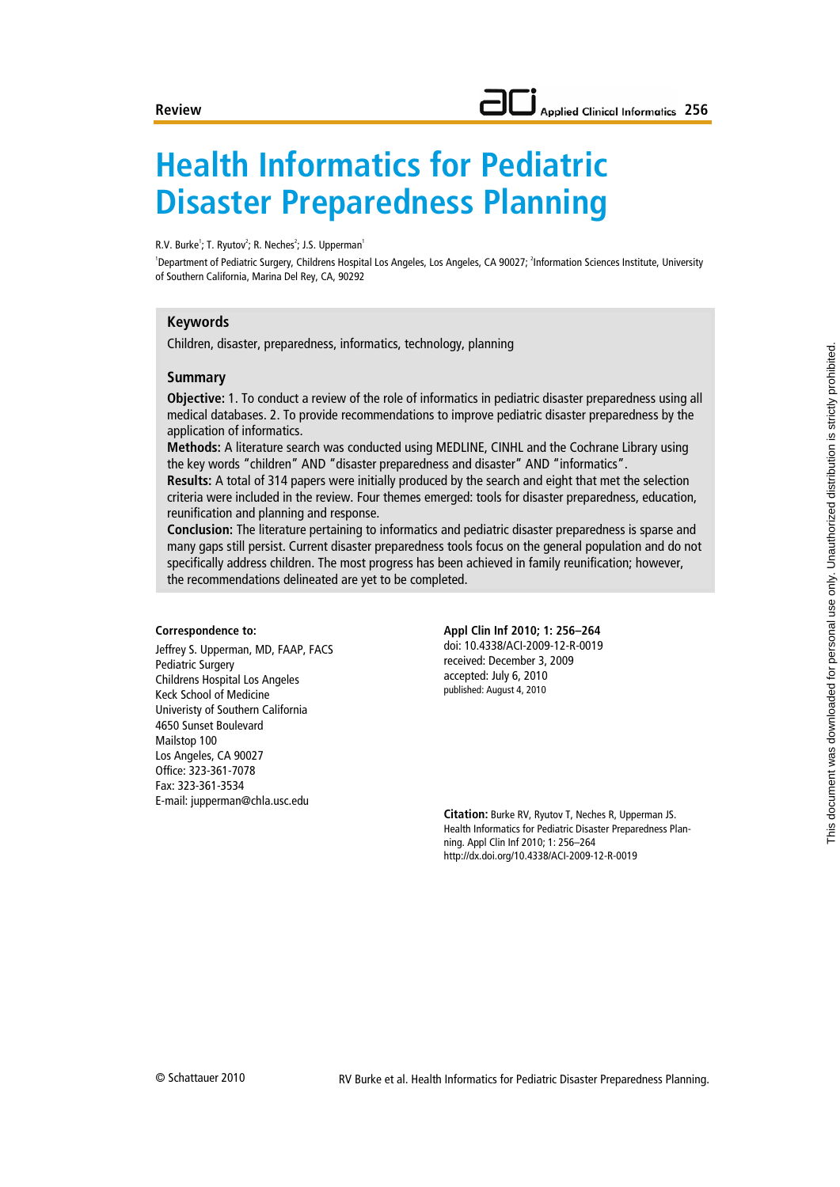# **Health Informatics for Pediatric Disaster Preparedness Planning**

R.V. Burke<sup>1</sup>; T. Ryutov<sup>2</sup>; R. Neches<sup>2</sup>; J.S. Upperman<sup>1</sup>

<sup>1</sup>Department of Pediatric Surgery, Childrens Hospital Los Angeles, Los Angeles, CA 90027; <sup>2</sup>Information Sciences Institute, University of Southern California, Marina Del Rey, CA, 90292

#### **Keywords**

Children, disaster, preparedness, informatics, technology, planning

#### **Summary**

**Objective:** 1. To conduct a review of the role of informatics in pediatric disaster preparedness using all medical databases. 2. To provide recommendations to improve pediatric disaster preparedness by the application of informatics.

**Methods:** A literature search was conducted using MEDLINE, CINHL and the Cochrane Library using the key words "children" AND "disaster preparedness and disaster" AND "informatics".

**Results:** A total of 314 papers were initially produced by the search and eight that met the selection criteria were included in the review. Four themes emerged: tools for disaster preparedness, education, reunification and planning and response.

**Conclusion:** The literature pertaining to informatics and pediatric disaster preparedness is sparse and many gaps still persist. Current disaster preparedness tools focus on the general population and do not specifically address children. The most progress has been achieved in family reunification; however, the recommendations delineated are yet to be completed.

#### **Correspondence to:**

Jeffrey S. Upperman, MD, FAAP, FACS Pediatric Surgery Childrens Hospital Los Angeles Keck School of Medicine Univeristy of Southern California 4650 Sunset Boulevard Mailstop 100 Los Angeles, CA 90027 Office: 323-361-7078 Fax: 323-361-3534 E-mail: jupperman@chla.usc.edu

**Appl Clin Inf 2010; 1: 256–264** doi: 10.4338/ACI-2009-12-R-0019 received: December 3, 2009 accepted: July 6, 2010 published: August 4, 2010

**Citation:** Burke RV, Ryutov T, Neches R, Upperman JS. Health Informatics for Pediatric Disaster Preparedness Planning. Appl Clin Inf 2010; 1: 256–264 http://dx.doi.org/10.4338/ACI-2009-12-R-0019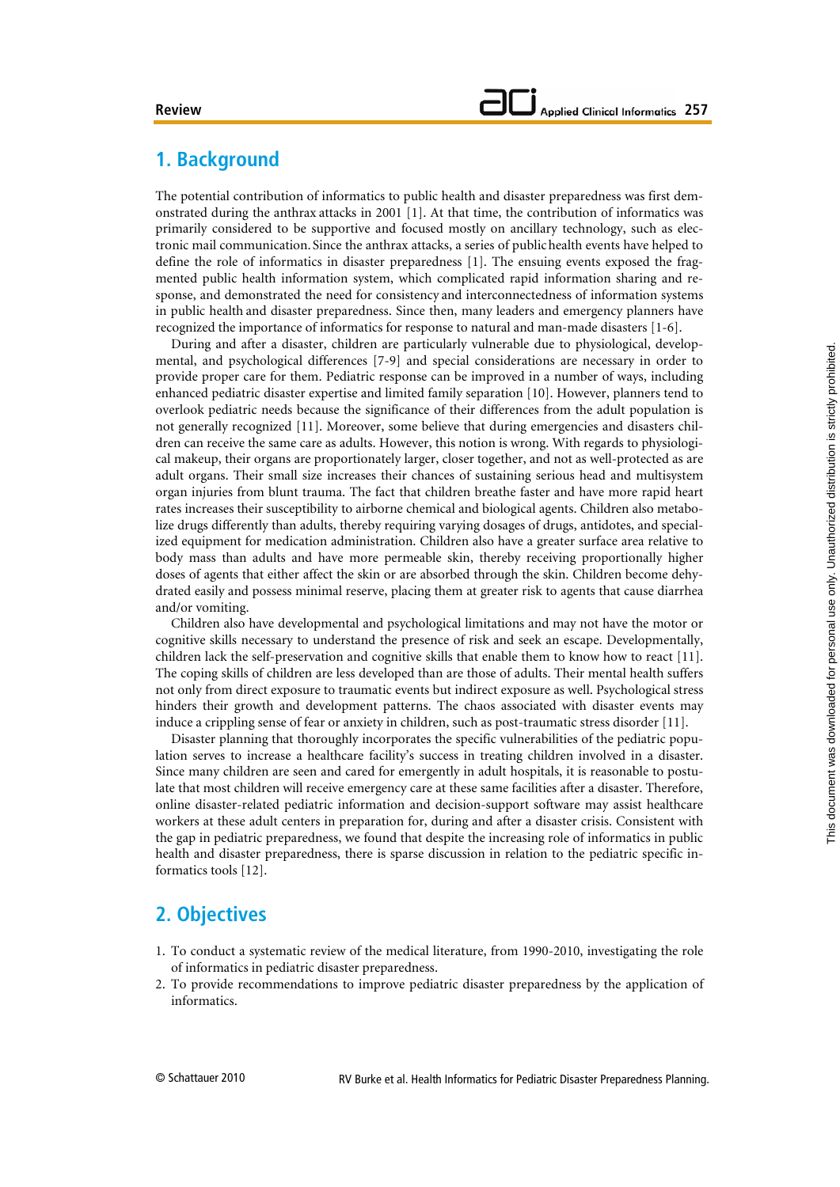# **1. Background**

The potential contribution of informatics to public health and disaster preparedness was first demonstrated during the anthrax attacks in 2001 [1]. At that time, the contribution of informatics was primarily considered to be supportive and focused mostly on ancillary technology, such as electronic mail communication. Since the anthrax attacks, a series of publichealth events have helped to define the role of informatics in disaster preparedness [1]. The ensuing events exposed the fragmented public health information system, which complicated rapid information sharing and response, and demonstrated the need for consistency and interconnectedness of information systems in public health and disaster preparedness. Since then, many leaders and emergency planners have recognized the importance of informatics for response to natural and man-made disasters [1-6].

During and after a disaster, children are particularly vulnerable due to physiological, developmental, and psychological differences [7-9] and special considerations are necessary in order to provide proper care for them. Pediatric response can be improved in a number of ways, including enhanced pediatric disaster expertise and limited family separation [10]. However, planners tend to overlook pediatric needs because the significance of their differences from the adult population is not generally recognized [11]. Moreover, some believe that during emergencies and disasters children can receive the same care as adults. However, this notion is wrong. With regards to physiological makeup, their organs are proportionately larger, closer together, and not as well-protected as are adult organs. Their small size increases their chances of sustaining serious head and multisystem organ injuries from blunt trauma. The fact that children breathe faster and have more rapid heart rates increases their susceptibility to airborne chemical and biological agents. Children also metabolize drugs differently than adults, thereby requiring varying dosages of drugs, antidotes, and specialized equipment for medication administration. Children also have a greater surface area relative to body mass than adults and have more permeable skin, thereby receiving proportionally higher doses of agents that either affect the skin or are absorbed through the skin. Children become dehydrated easily and possess minimal reserve, placing them at greater risk to agents that cause diarrhea and/or vomiting.

Children also have developmental and psychological limitations and may not have the motor or cognitive skills necessary to understand the presence of risk and seek an escape. Developmentally, children lack the self-preservation and cognitive skills that enable them to know how to react [11]. The coping skills of children are less developed than are those of adults. Their mental health suffers not only from direct exposure to traumatic events but indirect exposure as well. Psychological stress hinders their growth and development patterns. The chaos associated with disaster events may induce a crippling sense of fear or anxiety in children, such as post-traumatic stress disorder [11].

Disaster planning that thoroughly incorporates the specific vulnerabilities of the pediatric population serves to increase a healthcare facility's success in treating children involved in a disaster. Since many children are seen and cared for emergently in adult hospitals, it is reasonable to postulate that most children will receive emergency care at these same facilities after a disaster. Therefore, online disaster-related pediatric information and decision-support software may assist healthcare workers at these adult centers in preparation for, during and after a disaster crisis. Consistent with the gap in pediatric preparedness, we found that despite the increasing role of informatics in public health and disaster preparedness, there is sparse discussion in relation to the pediatric specific informatics tools [12].

# **2. Objectives**

- 1. To conduct a systematic review of the medical literature, from 1990-2010, investigating the role of informatics in pediatric disaster preparedness.
- 2. To provide recommendations to improve pediatric disaster preparedness by the application of informatics.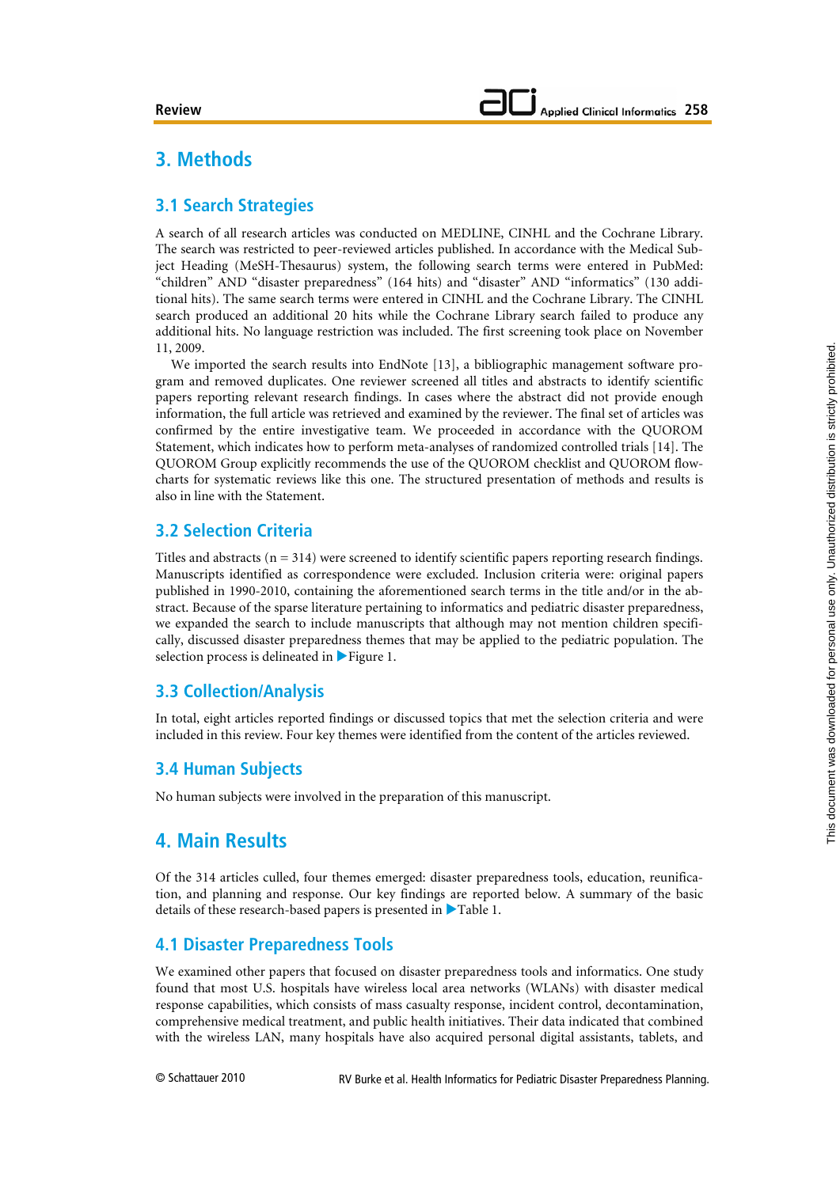# **3. Methods**

### **3.1 Search Strategies**

A search of all research articles was conducted on MEDLINE, CINHL and the Cochrane Library. The search was restricted to peer-reviewed articles published. In accordance with the Medical Subject Heading (MeSH-Thesaurus) system, the following search terms were entered in PubMed: "children" AND "disaster preparedness" (164 hits) and "disaster" AND "informatics" (130 additional hits). The same search terms were entered in CINHL and the Cochrane Library. The CINHL search produced an additional 20 hits while the Cochrane Library search failed to produce any additional hits. No language restriction was included. The first screening took place on November 11, 2009.

We imported the search results into EndNote [13], a bibliographic management software program and removed duplicates. One reviewer screened all titles and abstracts to identify scientific papers reporting relevant research findings. In cases where the abstract did not provide enough information, the full article was retrieved and examined by the reviewer. The final set of articles was confirmed by the entire investigative team. We proceeded in accordance with the QUOROM Statement, which indicates how to perform meta-analyses of randomized controlled trials [14]. The QUOROM Group explicitly recommends the use of the QUOROM checklist and QUOROM flowcharts for systematic reviews like this one. The structured presentation of methods and results is also in line with the Statement.

### **3.2 Selection Criteria**

Titles and abstracts ( $n = 314$ ) were screened to identify scientific papers reporting research findings. Manuscripts identified as correspondence were excluded. Inclusion criteria were: original papers published in 1990-2010, containing the aforementioned search terms in the title and/or in the abstract. Because of the sparse literature pertaining to informatics and pediatric disaster preparedness, we expanded the search to include manuscripts that although may not mention children specifically, discussed disaster preparedness themes that may be applied to the pediatric population. The selection process is delineated in  $\triangleright$  Figure 1.

## **3.3 Collection/Analysis**

In total, eight articles reported findings or discussed topics that met the selection criteria and were included in this review. Four key themes were identified from the content of the articles reviewed.

### **3.4 Human Subjects**

No human subjects were involved in the preparation of this manuscript.

# **4. Main Results**

Of the 314 articles culled, four themes emerged: disaster preparedness tools, education, reunification, and planning and response. Our key findings are reported below. A summary of the basic details of these research-based papers is presented in  $\blacktriangleright$  Table 1.

### **4.1 Disaster Preparedness Tools**

We examined other papers that focused on disaster preparedness tools and informatics. One study found that most U.S. hospitals have wireless local area networks (WLANs) with disaster medical response capabilities, which consists of mass casualty response, incident control, decontamination, comprehensive medical treatment, and public health initiatives. Their data indicated that combined with the wireless LAN, many hospitals have also acquired personal digital assistants, tablets, and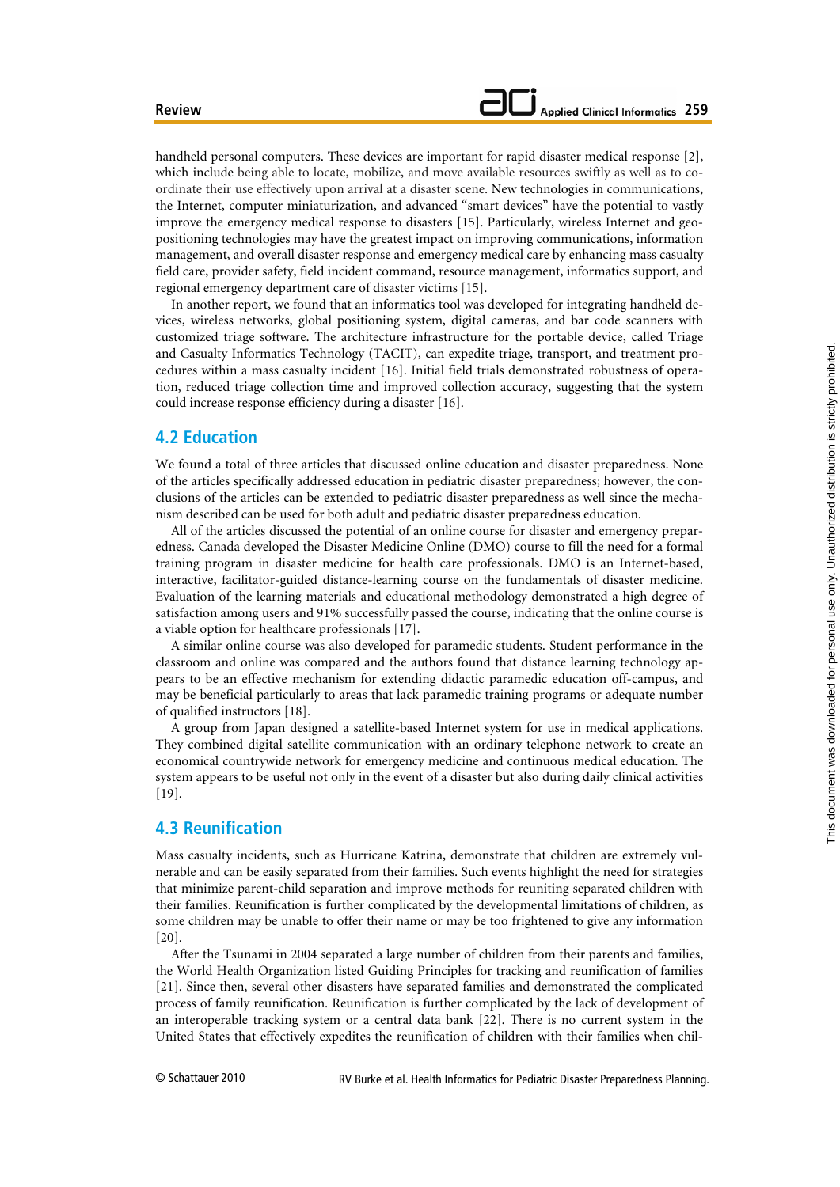handheld personal computers. These devices are important for rapid disaster medical response [2], which include being able to locate, mobilize, and move available resources swiftly as well as to coordinate their use effectively upon arrival at a disaster scene. New technologies in communications, the Internet, computer miniaturization, and advanced "smart devices" have the potential to vastly improve the emergency medical response to disasters [15]. Particularly, wireless Internet and geopositioning technologies may have the greatest impact on improving communications, information management, and overall disaster response and emergency medical care by enhancing mass casualty field care, provider safety, field incident command, resource management, informatics support, and regional emergency department care of disaster victims [15].

In another report, we found that an informatics tool was developed for integrating handheld devices, wireless networks, global positioning system, digital cameras, and bar code scanners with customized triage software. The architecture infrastructure for the portable device, called Triage and Casualty Informatics Technology (TACIT), can expedite triage, transport, and treatment procedures within a mass casualty incident [16]. Initial field trials demonstrated robustness of operation, reduced triage collection time and improved collection accuracy, suggesting that the system could increase response efficiency during a disaster [16].

#### **4.2 Education**

We found a total of three articles that discussed online education and disaster preparedness. None of the articles specifically addressed education in pediatric disaster preparedness; however, the conclusions of the articles can be extended to pediatric disaster preparedness as well since the mechanism described can be used for both adult and pediatric disaster preparedness education.

All of the articles discussed the potential of an online course for disaster and emergency preparedness. Canada developed the Disaster Medicine Online (DMO) course to fill the need for a formal training program in disaster medicine for health care professionals. DMO is an Internet-based, interactive, facilitator-guided distance-learning course on the fundamentals of disaster medicine. Evaluation of the learning materials and educational methodology demonstrated a high degree of satisfaction among users and 91% successfully passed the course, indicating that the online course is a viable option for healthcare professionals [17].

A similar online course was also developed for paramedic students. Student performance in the classroom and online was compared and the authors found that distance learning technology appears to be an effective mechanism for extending didactic paramedic education off-campus, and may be beneficial particularly to areas that lack paramedic training programs or adequate number of qualified instructors [18].

A group from Japan designed a satellite-based Internet system for use in medical applications. They combined digital satellite communication with an ordinary telephone network to create an economical countrywide network for emergency medicine and continuous medical education. The system appears to be useful not only in the event of a disaster but also during daily clinical activities [19].

#### **4.3 Reunification**

Mass casualty incidents, such as Hurricane Katrina, demonstrate that children are extremely vulnerable and can be easily separated from their families. Such events highlight the need for strategies that minimize parent-child separation and improve methods for reuniting separated children with their families. Reunification is further complicated by the developmental limitations of children, as some children may be unable to offer their name or may be too frightened to give any information [20].

After the Tsunami in 2004 separated a large number of children from their parents and families, the World Health Organization listed Guiding Principles for tracking and reunification of families [21]. Since then, several other disasters have separated families and demonstrated the complicated process of family reunification. Reunification is further complicated by the lack of development of an interoperable tracking system or a central data bank [22]. There is no current system in the United States that effectively expedites the reunification of children with their families when chil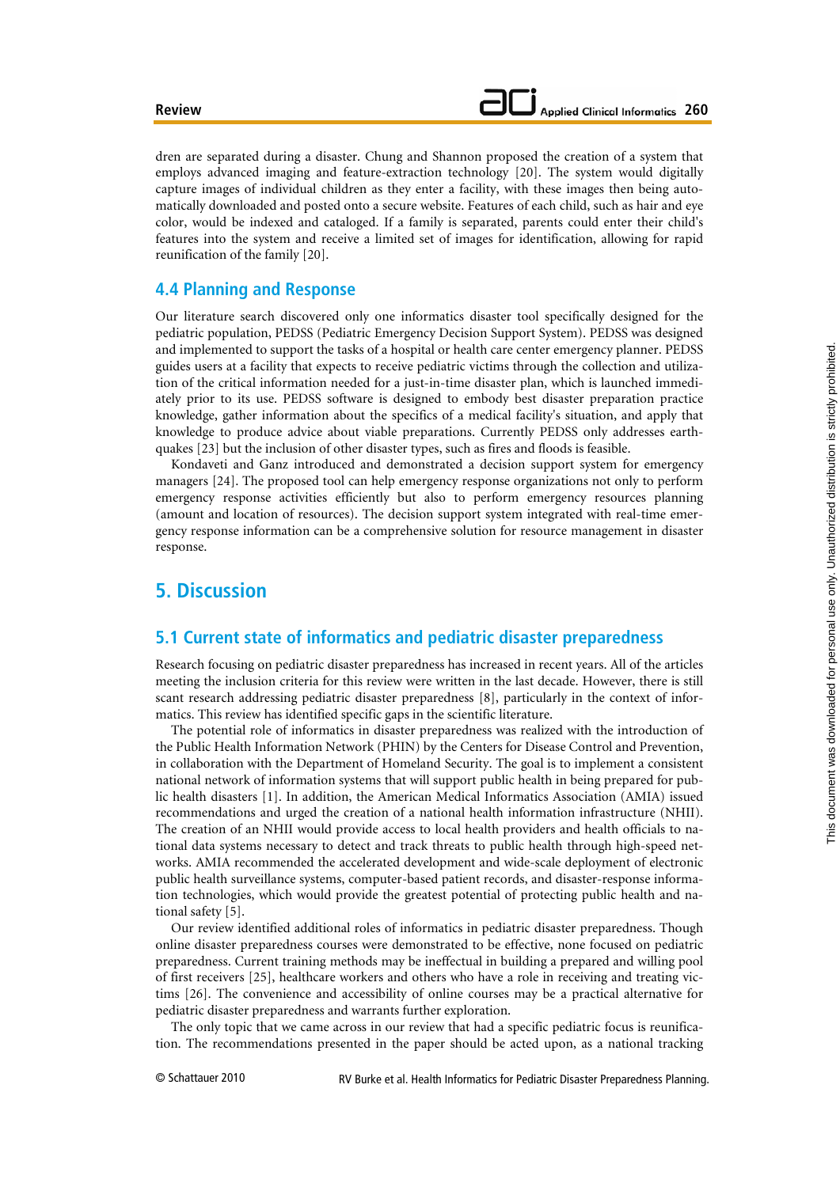dren are separated during a disaster. Chung and Shannon proposed the creation of a system that employs advanced imaging and feature-extraction technology [20]. The system would digitally capture images of individual children as they enter a facility, with these images then being automatically downloaded and posted onto a secure website. Features of each child, such as hair and eye color, would be indexed and cataloged. If a family is separated, parents could enter their child's features into the system and receive a limited set of images for identification, allowing for rapid reunification of the family [20].

### **4.4 Planning and Response**

Our literature search discovered only one informatics disaster tool specifically designed for the pediatric population, PEDSS (Pediatric Emergency Decision Support System). PEDSS was designed and implemented to support the tasks of a hospital or health care center emergency planner. PEDSS guides users at a facility that expects to receive pediatric victims through the collection and utilization of the critical information needed for a just-in-time disaster plan, which is launched immediately prior to its use. PEDSS software is designed to embody best disaster preparation practice knowledge, gather information about the specifics of a medical facility's situation, and apply that knowledge to produce advice about viable preparations. Currently PEDSS only addresses earthquakes [23] but the inclusion of other disaster types, such as fires and floods is feasible.

Kondaveti and Ganz introduced and demonstrated a decision support system for emergency managers [24]. The proposed tool can help emergency response organizations not only to perform emergency response activities efficiently but also to perform emergency resources planning (amount and location of resources). The decision support system integrated with real-time emergency response information can be a comprehensive solution for resource management in disaster response.

# **5. Discussion**

### **5.1 Current state of informatics and pediatric disaster preparedness**

Research focusing on pediatric disaster preparedness has increased in recent years. All of the articles meeting the inclusion criteria for this review were written in the last decade. However, there is still scant research addressing pediatric disaster preparedness [8], particularly in the context of informatics. This review has identified specific gaps in the scientific literature.

The potential role of informatics in disaster preparedness was realized with the introduction of the Public Health Information Network (PHIN) by the Centers for Disease Control and Prevention, in collaboration with the Department of Homeland Security. The goal is to implement a consistent national network of information systems that will support public health in being prepared for public health disasters [1]. In addition, the American Medical Informatics Association (AMIA) issued recommendations and urged the creation of a national health information infrastructure (NHII). The creation of an NHII would provide access to local health providers and health officials to national data systems necessary to detect and track threats to public health through high-speed networks. AMIA recommended the accelerated development and wide-scale deployment of electronic public health surveillance systems, computer-based patient records, and disaster-response information technologies, which would provide the greatest potential of protecting public health and national safety [5].

Our review identified additional roles of informatics in pediatric disaster preparedness. Though online disaster preparedness courses were demonstrated to be effective, none focused on pediatric preparedness. Current training methods may be ineffectual in building a prepared and willing pool of first receivers [25], healthcare workers and others who have a role in receiving and treating victims [26]. The convenience and accessibility of online courses may be a practical alternative for pediatric disaster preparedness and warrants further exploration.

The only topic that we came across in our review that had a specific pediatric focus is reunification. The recommendations presented in the paper should be acted upon, as a national tracking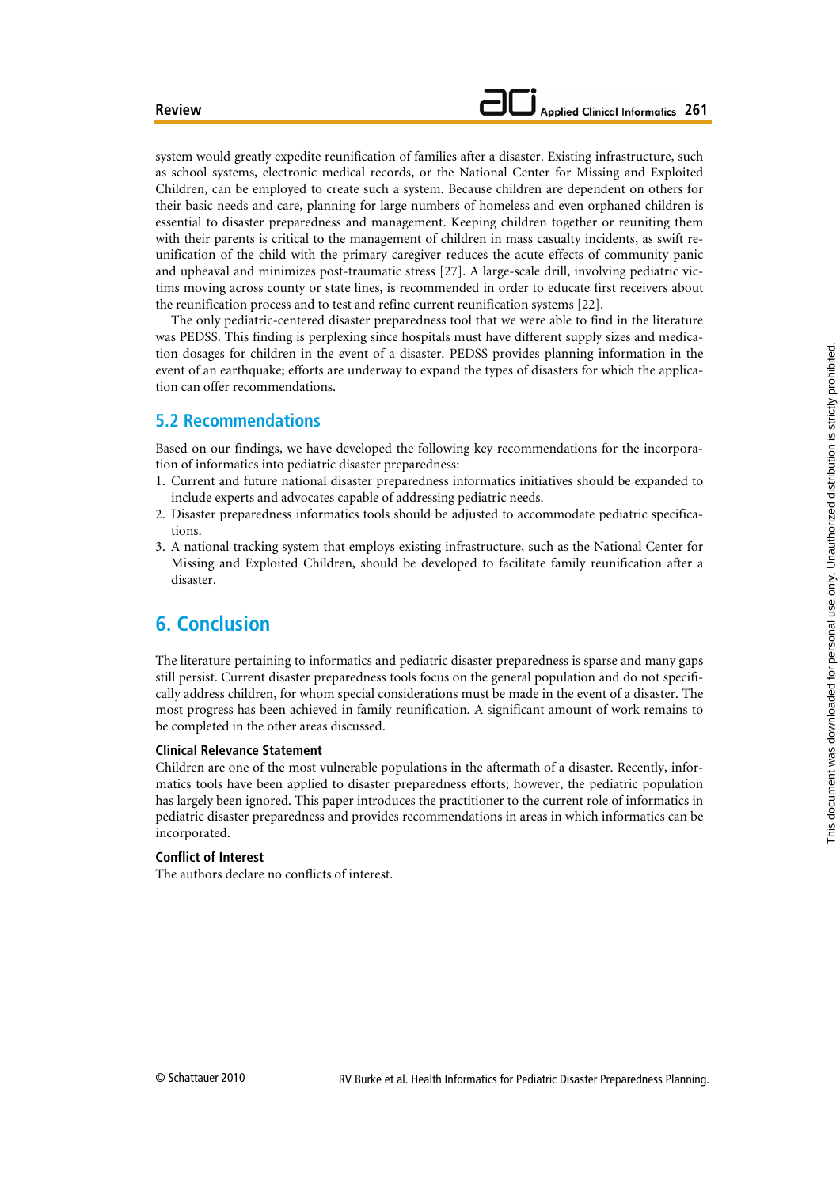system would greatly expedite reunification of families after a disaster. Existing infrastructure, such as school systems, electronic medical records, or the National Center for Missing and Exploited Children, can be employed to create such a system. Because children are dependent on others for their basic needs and care, planning for large numbers of homeless and even orphaned children is essential to disaster preparedness and management. Keeping children together or reuniting them with their parents is critical to the management of children in mass casualty incidents, as swift reunification of the child with the primary caregiver reduces the acute effects of community panic and upheaval and minimizes post-traumatic stress [27]. A large-scale drill, involving pediatric victims moving across county or state lines, is recommended in order to educate first receivers about the reunification process and to test and refine current reunification systems [22].

The only pediatric-centered disaster preparedness tool that we were able to find in the literature was PEDSS. This finding is perplexing since hospitals must have different supply sizes and medication dosages for children in the event of a disaster. PEDSS provides planning information in the event of an earthquake; efforts are underway to expand the types of disasters for which the application can offer recommendations.

#### **5.2 Recommendations**

Based on our findings, we have developed the following key recommendations for the incorporation of informatics into pediatric disaster preparedness:

- 1. Current and future national disaster preparedness informatics initiatives should be expanded to include experts and advocates capable of addressing pediatric needs.
- 2. Disaster preparedness informatics tools should be adjusted to accommodate pediatric specifications.
- 3. A national tracking system that employs existing infrastructure, such as the National Center for Missing and Exploited Children, should be developed to facilitate family reunification after a disaster.

# **6. Conclusion**

The literature pertaining to informatics and pediatric disaster preparedness is sparse and many gaps still persist. Current disaster preparedness tools focus on the general population and do not specifically address children, for whom special considerations must be made in the event of a disaster. The most progress has been achieved in family reunification. A significant amount of work remains to be completed in the other areas discussed.

#### **Clinical Relevance Statement**

Children are one of the most vulnerable populations in the aftermath of a disaster. Recently, informatics tools have been applied to disaster preparedness efforts; however, the pediatric population has largely been ignored. This paper introduces the practitioner to the current role of informatics in pediatric disaster preparedness and provides recommendations in areas in which informatics can be incorporated.

#### **Conflict of Interest**

The authors declare no conflicts of interest.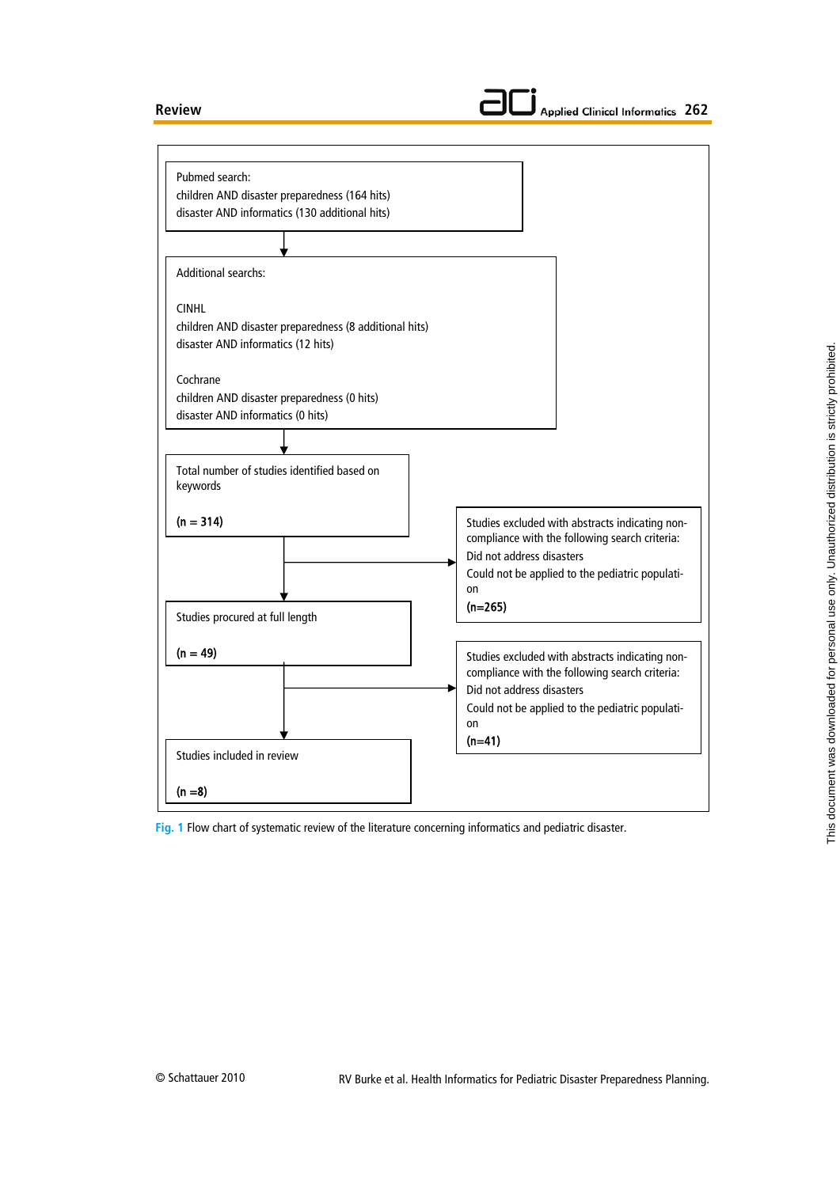#### **Review**





**Fig. 1** Flow chart of systematic review of the literature concerning informatics and pediatric disaster.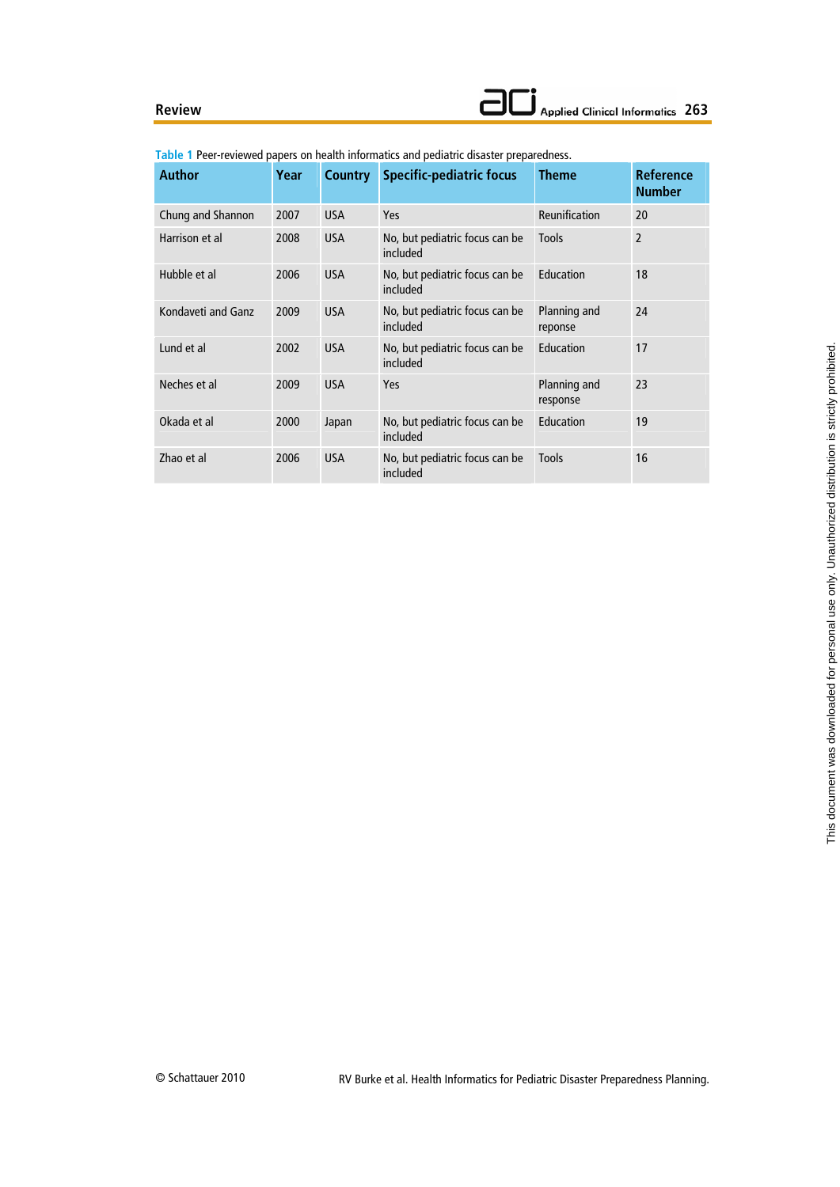#### **Review**

| <b>Author</b>      | Year | <b>Country</b> | <b>Specific-pediatric focus</b>            | <b>Theme</b>             | <b>Reference</b><br><b>Number</b> |
|--------------------|------|----------------|--------------------------------------------|--------------------------|-----------------------------------|
| Chung and Shannon  | 2007 | <b>USA</b>     | <b>Yes</b>                                 | Reunification            | 20                                |
| Harrison et al     | 2008 | <b>USA</b>     | No, but pediatric focus can be<br>included | <b>Tools</b>             | $\overline{2}$                    |
| Hubble et al       | 2006 | <b>USA</b>     | No, but pediatric focus can be<br>included | Education                | 18                                |
| Kondaveti and Ganz | 2009 | <b>USA</b>     | No, but pediatric focus can be<br>included | Planning and<br>reponse  | 24                                |
| Lund et al         | 2002 | <b>USA</b>     | No, but pediatric focus can be<br>included | Education                | 17                                |
| Neches et al       | 2009 | <b>USA</b>     | <b>Yes</b>                                 | Planning and<br>response | 23                                |
| Okada et al        | 2000 | Japan          | No, but pediatric focus can be<br>included | Education                | 19                                |
| Zhao et al         | 2006 | <b>USA</b>     | No, but pediatric focus can be<br>included | <b>Tools</b>             | 16                                |

**Table 1** Peer-reviewed papers on health informatics and pediatric disaster preparedness.